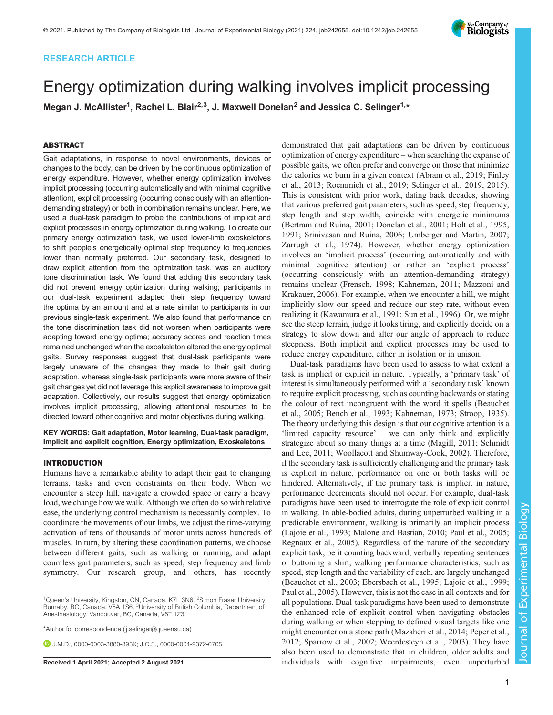# RESEARCH ARTICLE

# Energy optimization during walking involves implicit processing

Megan J. McAllister<sup>1</sup>, Rachel L. Blair<sup>2,3</sup>, J. Maxwell Donelan<sup>2</sup> and Jessica C. Selinger<sup>1,</sup>\*

# ABSTRACT

Gait adaptations, in response to novel environments, devices or changes to the body, can be driven by the continuous optimization of energy expenditure. However, whether energy optimization involves implicit processing (occurring automatically and with minimal cognitive attention), explicit processing (occurring consciously with an attentiondemanding strategy) or both in combination remains unclear. Here, we used a dual-task paradigm to probe the contributions of implicit and explicit processes in energy optimization during walking. To create our primary energy optimization task, we used lower-limb exoskeletons to shift people's energetically optimal step frequency to frequencies lower than normally preferred. Our secondary task, designed to draw explicit attention from the optimization task, was an auditory tone discrimination task. We found that adding this secondary task did not prevent energy optimization during walking; participants in our dual-task experiment adapted their step frequency toward the optima by an amount and at a rate similar to participants in our previous single-task experiment. We also found that performance on the tone discrimination task did not worsen when participants were adapting toward energy optima; accuracy scores and reaction times remained unchanged when the exoskeleton altered the energy optimal gaits. Survey responses suggest that dual-task participants were largely unaware of the changes they made to their gait during adaptation, whereas single-task participants were more aware of their gait changes yet did not leverage this explicit awareness to improve gait adaptation. Collectively, our results suggest that energy optimization involves implicit processing, allowing attentional resources to be directed toward other cognitive and motor objectives during walking.

KEY WORDS: Gait adaptation, Motor learning, Dual-task paradigm, Implicit and explicit cognition, Energy optimization, Exoskeletons

## INTRODUCTION

Humans have a remarkable ability to adapt their gait to changing terrains, tasks and even constraints on their body. When we encounter a steep hill, navigate a crowded space or carry a heavy load, we change how we walk. Although we often do so with relative ease, the underlying control mechanism is necessarily complex. To coordinate the movements of our limbs, we adjust the time-varying activation of tens of thousands of motor units across hundreds of muscles. In turn, by altering these coordination patterns, we choose between different gaits, such as walking or running, and adapt countless gait parameters, such as speed, step frequency and limb symmetry. Our research group, and others, has recently

<sup>1</sup>Queen's University, Kingston, ON, Canada, K7L 3N6. <sup>2</sup>Simon Fraser University, Burnaby, BC, Canada, V5A 1S6. <sup>3</sup>University of British Columbia, Department of Anesthesiology, Vancouver, BC, Canada, V6T 1Z3.

\*Author for correspondence [\( j.selinger@queensu.ca\)](mailto:j.selinger@queensu.ca)

J.M.D., [0000-0003-3880-893X](http://orcid.org/0000-0003-3880-893X); J.C.S., [0000-0001-9372-6705](http://orcid.org/0000-0001-9372-6705)

demonstrated that gait adaptations can be driven by continuous optimization of energy expenditure – when searching the expanse of possible gaits, we often prefer and converge on those that minimize the calories we burn in a given context [\(Abram et al., 2019](#page-9-0); [Finley](#page-9-0) [et al., 2013; Roemmich et al., 2019;](#page-9-0) [Selinger et al., 2019, 2015\)](#page-10-0). This is consistent with prior work, dating back decades, showing that various preferred gait parameters, such as speed, step frequency, step length and step width, coincide with energetic minimums [\(Bertram and Ruina, 2001](#page-9-0); [Donelan et al., 2001](#page-9-0); [Holt et al., 1995,](#page-9-0) [1991;](#page-9-0) [Srinivasan and Ruina, 2006; Umberger and Martin, 2007](#page-10-0); [Zarrugh et al., 1974\)](#page-10-0). However, whether energy optimization involves an 'implicit process' (occurring automatically and with minimal cognitive attention) or rather an 'explicit process' (occurring consciously with an attention-demanding strategy) remains unclear ([Frensch, 1998; Kahneman, 2011](#page-9-0); [Mazzoni and](#page-9-0) [Krakauer, 2006\)](#page-9-0). For example, when we encounter a hill, we might implicitly slow our speed and reduce our step rate, without even realizing it ([Kawamura et al., 1991;](#page-9-0) [Sun et al., 1996\)](#page-10-0). Or, we might see the steep terrain, judge it looks tiring, and explicitly decide on a strategy to slow down and alter our angle of approach to reduce steepness. Both implicit and explicit processes may be used to reduce energy expenditure, either in isolation or in unison.

Dual-task paradigms have been used to assess to what extent a task is implicit or explicit in nature. Typically, a 'primary task' of interest is simultaneously performed with a 'secondary task' known to require explicit processing, such as counting backwards or stating the colour of text incongruent with the word it spells ([Beauchet](#page-9-0) [et al., 2005; Bench et al., 1993](#page-9-0); [Kahneman, 1973](#page-9-0); [Stroop, 1935\)](#page-10-0). The theory underlying this design is that our cognitive attention is a 'limited capacity resource' – we can only think and explicitly strategize about so many things at a time [\(Magill, 2011;](#page-9-0) [Schmidt](#page-10-0) [and Lee, 2011](#page-10-0); [Woollacott and Shumway-Cook, 2002\)](#page-10-0). Therefore, if the secondary task is sufficiently challenging and the primary task is explicit in nature, performance on one or both tasks will be hindered. Alternatively, if the primary task is implicit in nature, performance decrements should not occur. For example, dual-task paradigms have been used to interrogate the role of explicit control in walking. In able-bodied adults, during unperturbed walking in a predictable environment, walking is primarily an implicit process [\(Lajoie et al., 1993; Malone and Bastian, 2010; Paul et al., 2005](#page-9-0); [Regnaux et al., 2005](#page-9-0)). Regardless of the nature of the secondary explicit task, be it counting backward, verbally repeating sentences or buttoning a shirt, walking performance characteristics, such as speed, step length and the variability of each, are largely unchanged [\(Beauchet et al., 2003; Ebersbach et al., 1995](#page-9-0); [Lajoie et al., 1999](#page-9-0); [Paul et al., 2005](#page-9-0)). However, this is not the case in all contexts and for all populations. Dual-task paradigms have been used to demonstrate the enhanced role of explicit control when navigating obstacles during walking or when stepping to defined visual targets like one might encounter on a stone path [\(Mazaheri et al., 2014; Peper et al.,](#page-9-0) [2012;](#page-9-0) [Sparrow et al., 2002; Weerdesteyn et al., 2003\)](#page-10-0). They have also been used to demonstrate that in children, older adults and Received 1 April 2021; Accepted 2 August 2021 **individuals** with cognitive impairments, even unperturbed

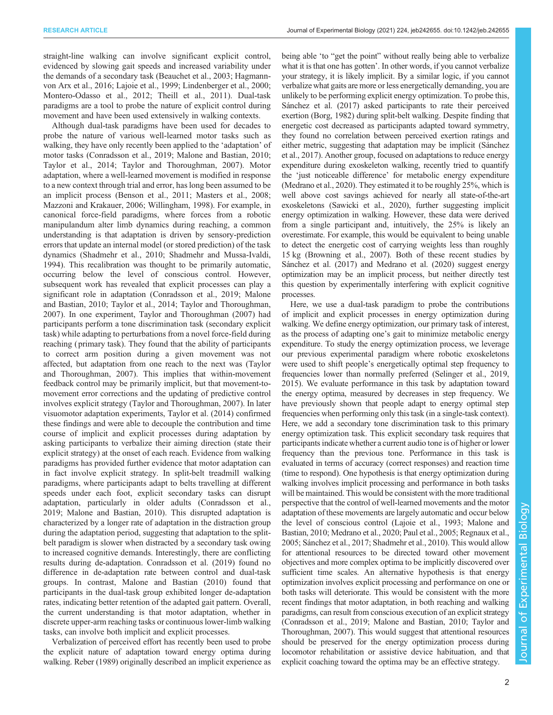straight-line walking can involve significant explicit control, evidenced by slowing gait speeds and increased variability under the demands of a secondary task ([Beauchet et al., 2003](#page-9-0); [Hagmann](#page-9-0)[von Arx et al., 2016; Lajoie et al., 1999](#page-9-0); [Lindenberger et al., 2000](#page-9-0); [Montero-Odasso et al., 2012](#page-9-0); [Theill et al., 2011](#page-10-0)). Dual-task paradigms are a tool to probe the nature of explicit control during movement and have been used extensively in walking contexts.

Although dual-task paradigms have been used for decades to probe the nature of various well-learned motor tasks such as walking, they have only recently been applied to the 'adaptation' of motor tasks ([Conradsson et al., 2019; Malone and Bastian, 2010](#page-9-0); [Taylor et al., 2014; Taylor and Thoroughman, 2007](#page-10-0)). Motor adaptation, where a well-learned movement is modified in response to a new context through trial and error, has long been assumed to be an implicit process ([Benson et al., 2011; Masters et al., 2008](#page-9-0); [Mazzoni and Krakauer, 2006;](#page-9-0) [Willingham, 1998\)](#page-10-0). For example, in canonical force-field paradigms, where forces from a robotic manipulandum alter limb dynamics during reaching, a common understanding is that adaptation is driven by sensory-prediction errors that update an internal model (or stored prediction) of the task dynamics ([Shadmehr et al., 2010](#page-10-0); [Shadmehr and Mussa-Ivaldi,](#page-10-0) [1994](#page-10-0)). This recalibration was thought to be primarily automatic, occurring below the level of conscious control. However, subsequent work has revealed that explicit processes can play a significant role in adaptation [\(Conradsson et al., 2019](#page-9-0); [Malone](#page-9-0) [and Bastian, 2010](#page-9-0); [Taylor et al., 2014](#page-10-0); [Taylor and Thoroughman,](#page-10-0) [2007](#page-10-0)). In one experiment, [Taylor and Thoroughman \(2007\)](#page-10-0) had participants perform a tone discrimination task (secondary explicit task) while adapting to perturbations from a novel force-field during reaching ( primary task). They found that the ability of participants to correct arm position during a given movement was not affected, but adaptation from one reach to the next was [\(Taylor](#page-10-0) [and Thoroughman, 2007\)](#page-10-0). This implies that within-movement feedback control may be primarily implicit, but that movement-tomovement error corrections and the updating of predictive control involves explicit strategy [\(Taylor and Thoroughman, 2007\)](#page-10-0). In later visuomotor adaptation experiments, [Taylor et al. \(2014\)](#page-10-0) confirmed these findings and were able to decouple the contribution and time course of implicit and explicit processes during adaptation by asking participants to verbalize their aiming direction (state their explicit strategy) at the onset of each reach. Evidence from walking paradigms has provided further evidence that motor adaptation can in fact involve explicit strategy. In split-belt treadmill walking paradigms, where participants adapt to belts travelling at different speeds under each foot, explicit secondary tasks can disrupt adaptation, particularly in older adults [\(Conradsson et al.,](#page-9-0) [2019](#page-9-0); [Malone and Bastian, 2010](#page-9-0)). This disrupted adaptation is characterized by a longer rate of adaptation in the distraction group during the adaptation period, suggesting that adaptation to the splitbelt paradigm is slower when distracted by a secondary task owing to increased cognitive demands. Interestingly, there are conflicting results during de-adaptation. [Conradsson et al. \(2019\)](#page-9-0) found no difference in de-adaptation rate between control and dual-task groups. In contrast, [Malone and Bastian \(2010\)](#page-9-0) found that participants in the dual-task group exhibited longer de-adaptation rates, indicating better retention of the adapted gait pattern. Overall, the current understanding is that motor adaptation, whether in discrete upper-arm reaching tasks or continuous lower-limb walking tasks, can involve both implicit and explicit processes.

Verbalization of perceived effort has recently been used to probe the explicit nature of adaptation toward energy optima during walking. [Reber \(1989\)](#page-9-0) originally described an implicit experience as being able 'to "get the point" without really being able to verbalize what it is that one has gotten'. In other words, if you cannot verbalize your strategy, it is likely implicit. By a similar logic, if you cannot verbalize what gaits are more or less energetically demanding, you are unlikely to be performing explicit energy optimization. To probe this, [Sánchez et al. \(2017\)](#page-10-0) asked participants to rate their perceived exertion [\(Borg, 1982](#page-9-0)) during split-belt walking. Despite finding that energetic cost decreased as participants adapted toward symmetry, they found no correlation between perceived exertion ratings and either metric, suggesting that adaptation may be implicit [\(Sánchez](#page-10-0) [et al., 2017](#page-10-0)). Another group, focused on adaptations to reduce energy expenditure during exoskeleton walking, recently tried to quantify the 'just noticeable difference' for metabolic energy expenditure [\(Medrano et al., 2020](#page-9-0)). They estimated it to be roughly 25%, which is well above cost savings achieved for nearly all state-of-the-art exoskeletons ([Sawicki et al., 2020\)](#page-10-0), further suggesting implicit energy optimization in walking. However, these data were derived from a single participant and, intuitively, the 25% is likely an overestimate. For example, this would be equivalent to being unable to detect the energetic cost of carrying weights less than roughly 15 kg ([Browning et al., 2007](#page-9-0)). Both of these recent studies by [Sánchez et al. \(2017\)](#page-9-0) and [Medrano et al. \(2020\)](#page-9-0) suggest energy optimization may be an implicit process, but neither directly test this question by experimentally interfering with explicit cognitive processes.

Here, we use a dual-task paradigm to probe the contributions of implicit and explicit processes in energy optimization during walking. We define energy optimization, our primary task of interest, as the process of adapting one's gait to minimize metabolic energy expenditure. To study the energy optimization process, we leverage our previous experimental paradigm where robotic exoskeletons were used to shift people's energetically optimal step frequency to frequencies lower than normally preferred ([Selinger et al., 2019,](#page-10-0) [2015\)](#page-10-0). We evaluate performance in this task by adaptation toward the energy optima, measured by decreases in step frequency. We have previously shown that people adapt to energy optimal step frequencies when performing only this task (in a single-task context). Here, we add a secondary tone discrimination task to this primary energy optimization task. This explicit secondary task requires that participants indicate whether a current audio tone is of higher or lower frequency than the previous tone. Performance in this task is evaluated in terms of accuracy (correct responses) and reaction time (time to respond). One hypothesis is that energy optimization during walking involves implicit processing and performance in both tasks will be maintained. This would be consistent with the more traditional perspective that the control of well-learned movements and the motor adaptation of these movements are largely automatic and occur below the level of conscious control ([Lajoie et al., 1993](#page-9-0); [Malone and](#page-9-0) [Bastian, 2010](#page-9-0); [Medrano et al., 2020](#page-9-0); [Paul et al., 2005](#page-9-0); [Regnaux et al.,](#page-9-0) [2005;](#page-9-0) [Sánchez et al., 2017](#page-10-0); [Shadmehr et al., 2010\)](#page-10-0). This would allow for attentional resources to be directed toward other movement objectives and more complex optima to be implicitly discovered over sufficient time scales. An alternative hypothesis is that energy optimization involves explicit processing and performance on one or both tasks will deteriorate. This would be consistent with the more recent findings that motor adaptation, in both reaching and walking paradigms, can result from conscious execution of an explicit strategy [\(Conradsson et al., 2019; Malone and Bastian, 2010;](#page-9-0) [Taylor and](#page-10-0) [Thoroughman, 2007](#page-10-0)). This would suggest that attentional resources should be preserved for the energy optimization process during locomotor rehabilitation or assistive device habituation, and that explicit coaching toward the optima may be an effective strategy.

Journal of Experimental BiologyJournal of Experimental Biology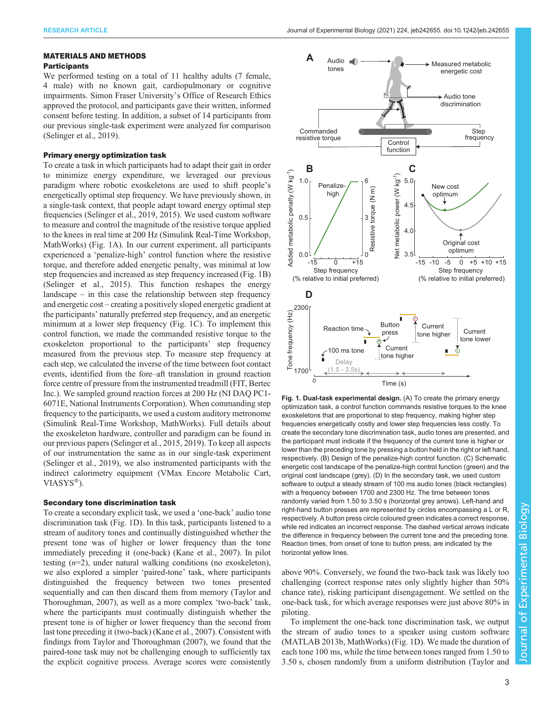## MATERIALS AND METHODS

# **Participants**

We performed testing on a total of 11 healthy adults (7 female, 4 male) with no known gait, cardiopulmonary or cognitive impairments. Simon Fraser University's Office of Research Ethics approved the protocol, and participants gave their written, informed consent before testing. In addition, a subset of 14 participants from our previous single-task experiment were analyzed for comparison [\(Selinger et al., 2019](#page-10-0)).

## Primary energy optimization task

To create a task in which participants had to adapt their gait in order to minimize energy expenditure, we leveraged our previous paradigm where robotic exoskeletons are used to shift people's energetically optimal step frequency. We have previously shown, in a single-task context, that people adapt toward energy optimal step frequencies ([Selinger et al., 2019](#page-10-0), [2015\)](#page-10-0). We used custom software to measure and control the magnitude of the resistive torque applied to the knees in real time at 200 Hz (Simulink Real-Time Workshop, MathWorks) (Fig. 1A). In our current experiment, all participants experienced a 'penalize-high' control function where the resistive torque, and therefore added energetic penalty, was minimal at low step frequencies and increased as step frequency increased (Fig. 1B) [\(Selinger et al., 2015](#page-10-0)). This function reshapes the energy landscape – in this case the relationship between step frequency and energetic cost – creating a positively sloped energetic gradient at the participants' naturally preferred step frequency, and an energetic minimum at a lower step frequency (Fig. 1C). To implement this control function, we made the commanded resistive torque to the exoskeleton proportional to the participants' step frequency measured from the previous step. To measure step frequency at each step, we calculated the inverse of the time between foot contact events, identified from the fore–aft translation in ground reaction force centre of pressure from the instrumented treadmill (FIT, Bertec Inc.). We sampled ground reaction forces at 200 Hz (NI DAQ PC1- 6071E, National Instruments Corporation). When commanding step frequency to the participants, we used a custom auditory metronome (Simulink Real-Time Workshop, MathWorks). Full details about the exoskeleton hardware, controller and paradigm can be found in our previous papers ([Selinger et al., 2015, 2019\)](#page-10-0). To keep all aspects of our instrumentation the same as in our single-task experiment [\(Selinger et al., 2019\)](#page-10-0), we also instrumented participants with the indirect calorimetry equipment (VMax Encore Metabolic Cart, VIASYS®).

#### Secondary tone discrimination task

To create a secondary explicit task, we used a 'one-back' audio tone discrimination task (Fig. 1D). In this task, participants listened to a stream of auditory tones and continually distinguished whether the present tone was of higher or lower frequency than the tone immediately preceding it (one-back) ([Kane et al., 2007\)](#page-9-0). In pilot testing  $(n=2)$ , under natural walking conditions (no exoskeleton), we also explored a simpler 'paired-tone' task, where participants distinguished the frequency between two tones presented sequentially and can then discard them from memory ([Taylor and](#page-10-0) [Thoroughman, 2007\)](#page-10-0), as well as a more complex 'two-back' task, where the participants must continually distinguish whether the present tone is of higher or lower frequency than the second from last tone preceding it (two-back) [\(Kane et al., 2007\)](#page-9-0). Consistent with findings from [Taylor and Thoroughman \(2007\),](#page-10-0) we found that the paired-tone task may not be challenging enough to sufficiently tax the explicit cognitive process. Average scores were consistently



Fig. 1. Dual-task experimental design. (A) To create the primary energy optimization task, a control function commands resistive torques to the knee exoskeletons that are proportional to step frequency, making higher step frequencies energetically costly and lower step frequencies less costly. To create the secondary tone discrimination task, audio tones are presented, and the participant must indicate if the frequency of the current tone is higher or lower than the preceding tone by pressing a button held in the right or left hand, respectively. (B) Design of the penalize-high control function. (C) Schematic energetic cost landscape of the penalize-high control function (green) and the original cost landscape (grey). (D) In the secondary task, we used custom software to output a steady stream of 100 ms audio tones (black rectangles) with a frequency between 1700 and 2300 Hz. The time between tones randomly varied from 1.50 to 3.50 s (horizontal grey arrows). Left-hand and right-hand button presses are represented by circles encompassing a L or R, respectively. A button press circle coloured green indicates a correct response, while red indicates an incorrect response. The dashed vertical arrows indicate the difference in frequency between the current tone and the preceding tone. Reaction times, from onset of tone to button press, are indicated by the horizontal yellow lines.

above 90%. Conversely, we found the two-back task was likely too challenging (correct response rates only slightly higher than 50% chance rate), risking participant disengagement. We settled on the one-back task, for which average responses were just above 80% in piloting.

To implement the one-back tone discrimination task, we output the stream of audio tones to a speaker using custom software (MATLAB 2013b, MathWorks) (Fig. 1D). We made the duration of each tone 100 ms, while the time between tones ranged from 1.50 to 3.50 s, chosen randomly from a uniform distribution [\(Taylor and](#page-10-0)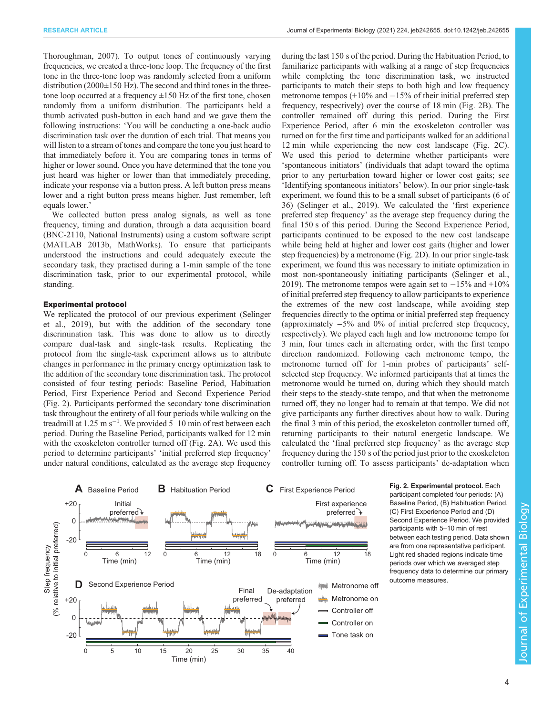<span id="page-3-0"></span>[Thoroughman, 2007](#page-10-0)). To output tones of continuously varying frequencies, we created a three-tone loop. The frequency of the first tone in the three-tone loop was randomly selected from a uniform distribution (2000±150 Hz). The second and third tones in the threetone loop occurred at a frequency  $\pm 150$  Hz of the first tone, chosen randomly from a uniform distribution. The participants held a thumb activated push-button in each hand and we gave them the following instructions: 'You will be conducting a one-back audio discrimination task over the duration of each trial. That means you will listen to a stream of tones and compare the tone you just heard to that immediately before it. You are comparing tones in terms of higher or lower sound. Once you have determined that the tone you just heard was higher or lower than that immediately preceding, indicate your response via a button press. A left button press means lower and a right button press means higher. Just remember, left equals lower.'

We collected button press analog signals, as well as tone frequency, timing and duration, through a data acquisition board (BNC-2110, National Instruments) using a custom software script (MATLAB 2013b, MathWorks). To ensure that participants understood the instructions and could adequately execute the secondary task, they practised during a 1-min sample of the tone discrimination task, prior to our experimental protocol, while standing.

#### Experimental protocol

We replicated the protocol of our previous experiment ([Selinger](#page-10-0) [et al., 2019](#page-10-0)), but with the addition of the secondary tone discrimination task. This was done to allow us to directly compare dual-task and single-task results. Replicating the protocol from the single-task experiment allows us to attribute changes in performance in the primary energy optimization task to the addition of the secondary tone discrimination task. The protocol consisted of four testing periods: Baseline Period, Habituation Period, First Experience Period and Second Experience Period (Fig. 2). Participants performed the secondary tone discrimination task throughout the entirety of all four periods while walking on the treadmill at 1.25 m s−<sup>1</sup> . We provided 5–10 min of rest between each period. During the Baseline Period, participants walked for 12 min with the exoskeleton controller turned off (Fig. 2A). We used this period to determine participants' 'initial preferred step frequency' under natural conditions, calculated as the average step frequency

during the last 150 s of the period. During the Habituation Period, to familiarize participants with walking at a range of step frequencies while completing the tone discrimination task, we instructed participants to match their steps to both high and low frequency metronome tempos (+10% and −15% of their initial preferred step frequency, respectively) over the course of 18 min (Fig. 2B). The controller remained off during this period. During the First Experience Period, after 6 min the exoskeleton controller was turned on for the first time and participants walked for an additional 12 min while experiencing the new cost landscape (Fig. 2C). We used this period to determine whether participants were 'spontaneous initiators' (individuals that adapt toward the optima prior to any perturbation toward higher or lower cost gaits; see 'Identifying spontaneous initiators' below). In our prior single-task experiment, we found this to be a small subset of participants (6 of 36) [\(Selinger et al., 2019\)](#page-10-0). We calculated the 'first experience preferred step frequency' as the average step frequency during the final 150 s of this period. During the Second Experience Period, participants continued to be exposed to the new cost landscape while being held at higher and lower cost gaits (higher and lower step frequencies) by a metronome (Fig. 2D). In our prior single-task experiment, we found this was necessary to initiate optimization in most non-spontaneously initiating participants ([Selinger et al.,](#page-10-0) [2019\)](#page-10-0). The metronome tempos were again set to  $-15\%$  and  $+10\%$ of initial preferred step frequency to allow participants to experience the extremes of the new cost landscape, while avoiding step frequencies directly to the optima or initial preferred step frequency (approximately −5% and 0% of initial preferred step frequency, respectively). We played each high and low metronome tempo for 3 min, four times each in alternating order, with the first tempo direction randomized. Following each metronome tempo, the metronome turned off for 1-min probes of participants' selfselected step frequency. We informed participants that at times the metronome would be turned on, during which they should match their steps to the steady-state tempo, and that when the metronome turned off, they no longer had to remain at that tempo. We did not give participants any further directives about how to walk. During the final 3 min of this period, the exoskeleton controller turned off, returning participants to their natural energetic landscape. We calculated the 'final preferred step frequency' as the average step frequency during the 150 s of the period just prior to the exoskeleton controller turning off. To assess participants' de-adaptation when



Fig. 2. Experimental protocol. Each participant completed four periods: (A) Baseline Period, (B) Habituation Period, (C) First Experience Period and (D) Second Experience Period. We provided participants with 5–10 min of rest between each testing period. Data shown are from one representative participant. Light red shaded regions indicate time periods over which we averaged step frequency data to determine our primary outcome measures.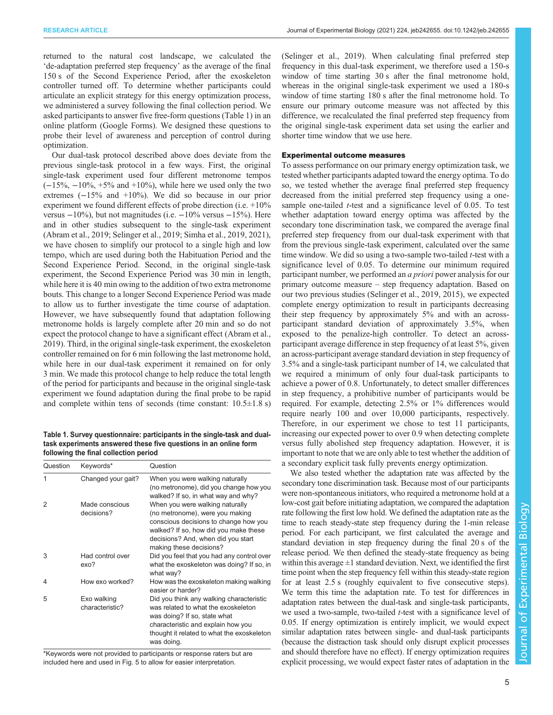returned to the natural cost landscape, we calculated the 'de-adaptation preferred step frequency' as the average of the final 150 s of the Second Experience Period, after the exoskeleton controller turned off. To determine whether participants could articulate an explicit strategy for this energy optimization process, we administered a survey following the final collection period. We asked participants to answer five free-form questions (Table 1) in an online platform (Google Forms). We designed these questions to probe their level of awareness and perception of control during optimization.

Our dual-task protocol described above does deviate from the previous single-task protocol in a few ways. First, the original single-task experiment used four different metronome tempos  $(-15\%, -10\%, +5\% \text{ and } +10\%)$ , while here we used only the two extremes (−15% and +10%). We did so because in our prior experiment we found different effects of probe direction (i.e. +10% versus  $-10\%$ ), but not magnitudes (i.e.  $-10\%$  versus  $-15\%$ ). Here and in other studies subsequent to the single-task experiment [\(Abram et al., 2019](#page-9-0); [Selinger et al., 2019](#page-10-0); [Simha et al., 2019](#page-10-0), [2021\)](#page-10-0), we have chosen to simplify our protocol to a single high and low tempo, which are used during both the Habituation Period and the Second Experience Period. Second, in the original single-task experiment, the Second Experience Period was 30 min in length, while here it is 40 min owing to the addition of two extra metronome bouts. This change to a longer Second Experience Period was made to allow us to further investigate the time course of adaptation. However, we have subsequently found that adaptation following metronome holds is largely complete after 20 min and so do not expect the protocol change to have a significant effect [\(Abram et al.,](#page-9-0) [2019](#page-9-0)). Third, in the original single-task experiment, the exoskeleton controller remained on for 6 min following the last metronome hold, while here in our dual-task experiment it remained on for only 3 min. We made this protocol change to help reduce the total length of the period for participants and because in the original single-task experiment we found adaptation during the final probe to be rapid and complete within tens of seconds (time constant:  $10.5 \pm 1.8$  s)

Table 1. Survey questionnaire: participants in the single-task and dualtask experiments answered these five questions in an online form following the final collection period

| Question | Keywords*                      | Question                                                                                                                                                                                                              |
|----------|--------------------------------|-----------------------------------------------------------------------------------------------------------------------------------------------------------------------------------------------------------------------|
| 1        | Changed your gait?             | When you were walking naturally<br>(no metronome), did you change how you<br>walked? If so, in what way and why?                                                                                                      |
| 2        | Made conscious<br>decisions?   | When you were walking naturally<br>(no metronome), were you making<br>conscious decisions to change how you<br>walked? If so, how did you make these<br>decisions? And, when did you start<br>making these decisions? |
| 3        | Had control over<br>exo?       | Did you feel that you had any control over<br>what the exoskeleton was doing? If so, in<br>what way?                                                                                                                  |
| 4        | How exo worked?                | How was the exoskeleton making walking<br>easier or harder?                                                                                                                                                           |
| 5        | Exo walking<br>characteristic? | Did you think any walking characteristic<br>was related to what the exoskeleton<br>was doing? If so, state what<br>characteristic and explain how you<br>thought it related to what the exoskeleton<br>was doing.     |

\*Keywords were not provided to participants or response raters but are included here and used in [Fig. 5](#page-7-0) to allow for easier interpretation.

[\(Selinger et al., 2019](#page-10-0)). When calculating final preferred step frequency in this dual-task experiment, we therefore used a 150-s window of time starting 30 s after the final metronome hold, whereas in the original single-task experiment we used a 180-s window of time starting 180 s after the final metronome hold. To ensure our primary outcome measure was not affected by this difference, we recalculated the final preferred step frequency from the original single-task experiment data set using the earlier and shorter time window that we use here.

## Experimental outcome measures

To assess performance on our primary energy optimization task, we tested whether participants adapted toward the energy optima. To do so, we tested whether the average final preferred step frequency decreased from the initial preferred step frequency using a onesample one-tailed *t*-test and a significance level of 0.05. To test whether adaptation toward energy optima was affected by the secondary tone discrimination task, we compared the average final preferred step frequency from our dual-task experiment with that from the previous single-task experiment, calculated over the same time window. We did so using a two-sample two-tailed *t*-test with a significance level of 0.05. To determine our minimum required participant number, we performed an a priori power analysis for our primary outcome measure – step frequency adaptation. Based on our two previous studies ([Selinger et al., 2019, 2015\)](#page-10-0), we expected complete energy optimization to result in participants decreasing their step frequency by approximately 5% and with an acrossparticipant standard deviation of approximately 3.5%, when exposed to the penalize-high controller. To detect an acrossparticipant average difference in step frequency of at least 5%, given an across-participant average standard deviation in step frequency of 3.5% and a single-task participant number of 14, we calculated that we required a minimum of only four dual-task participants to achieve a power of 0.8. Unfortunately, to detect smaller differences in step frequency, a prohibitive number of participants would be required. For example, detecting 2.5% or 1% differences would require nearly 100 and over 10,000 participants, respectively. Therefore, in our experiment we chose to test 11 participants, increasing our expected power to over 0.9 when detecting complete versus fully abolished step frequency adaptation. However, it is important to note that we are only able to test whether the addition of a secondary explicit task fully prevents energy optimization.

We also tested whether the adaptation rate was affected by the secondary tone discrimination task. Because most of our participants were non-spontaneous initiators, who required a metronome hold at a low-cost gait before initiating adaptation, we compared the adaptation rate following the first low hold. We defined the adaptation rate as the time to reach steady-state step frequency during the 1-min release period. For each participant, we first calculated the average and standard deviation in step frequency during the final 20 s of the release period. We then defined the steady-state frequency as being within this average  $\pm 1$  standard deviation. Next, we identified the first time point when the step frequency fell within this steady-state region for at least 2.5 s (roughly equivalent to five consecutive steps). We term this time the adaptation rate. To test for differences in adaptation rates between the dual-task and single-task participants, we used a two-sample, two-tailed *t*-test with a significance level of 0.05. If energy optimization is entirely implicit, we would expect similar adaptation rates between single- and dual-task participants (because the distraction task should only disrupt explicit processes and should therefore have no effect). If energy optimization requires explicit processing, we would expect faster rates of adaptation in the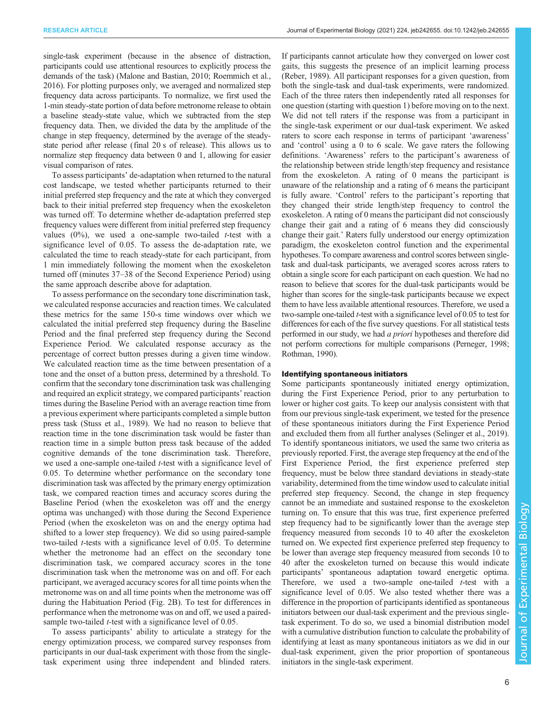single-task experiment (because in the absence of distraction, participants could use attentional resources to explicitly process the demands of the task) [\(Malone and Bastian, 2010; Roemmich et al.,](#page-9-0) [2016\)](#page-9-0). For plotting purposes only, we averaged and normalized step frequency data across participants. To normalize, we first used the 1-min steady-state portion of data before metronome release to obtain a baseline steady-state value, which we subtracted from the step frequency data. Then, we divided the data by the amplitude of the change in step frequency, determined by the average of the steadystate period after release (final 20 s of release). This allows us to normalize step frequency data between 0 and 1, allowing for easier visual comparison of rates.

To assess participants' de-adaptation when returned to the natural cost landscape, we tested whether participants returned to their initial preferred step frequency and the rate at which they converged back to their initial preferred step frequency when the exoskeleton was turned off. To determine whether de-adaptation preferred step frequency values were different from initial preferred step frequency values  $(0\%)$ , we used a one-sample two-tailed *t*-test with a significance level of 0.05. To assess the de-adaptation rate, we calculated the time to reach steady-state for each participant, from 1 min immediately following the moment when the exoskeleton turned off (minutes 37–38 of the Second Experience Period) using the same approach describe above for adaptation.

To assess performance on the secondary tone discrimination task, we calculated response accuracies and reaction times. We calculated these metrics for the same 150-s time windows over which we calculated the initial preferred step frequency during the Baseline Period and the final preferred step frequency during the Second Experience Period. We calculated response accuracy as the percentage of correct button presses during a given time window. We calculated reaction time as the time between presentation of a tone and the onset of a button press, determined by a threshold. To confirm that the secondary tone discrimination task was challenging and required an explicit strategy, we compared participants' reaction times during the Baseline Period with an average reaction time from a previous experiment where participants completed a simple button press task [\(Stuss et al., 1989\)](#page-10-0). We had no reason to believe that reaction time in the tone discrimination task would be faster than reaction time in a simple button press task because of the added cognitive demands of the tone discrimination task. Therefore, we used a one-sample one-tailed *t*-test with a significance level of 0.05. To determine whether performance on the secondary tone discrimination task was affected by the primary energy optimization task, we compared reaction times and accuracy scores during the Baseline Period (when the exoskeleton was off and the energy optima was unchanged) with those during the Second Experience Period (when the exoskeleton was on and the energy optima had shifted to a lower step frequency). We did so using paired-sample two-tailed t-tests with a significance level of 0.05. To determine whether the metronome had an effect on the secondary tone discrimination task, we compared accuracy scores in the tone discrimination task when the metronome was on and off. For each participant, we averaged accuracy scores for all time points when the metronome was on and all time points when the metronome was off during the Habituation Period ([Fig. 2B](#page-3-0)). To test for differences in performance when the metronome was on and off, we used a pairedsample two-tailed *t*-test with a significance level of 0.05.

To assess participants' ability to articulate a strategy for the energy optimization process, we compared survey responses from participants in our dual-task experiment with those from the singletask experiment using three independent and blinded raters. If participants cannot articulate how they converged on lower cost gaits, this suggests the presence of an implicit learning process [\(Reber, 1989](#page-9-0)). All participant responses for a given question, from both the single-task and dual-task experiments, were randomized. Each of the three raters then independently rated all responses for one question (starting with question 1) before moving on to the next. We did not tell raters if the response was from a participant in the single-task experiment or our dual-task experiment. We asked raters to score each response in terms of participant 'awareness' and 'control' using a 0 to 6 scale. We gave raters the following definitions. 'Awareness' refers to the participant's awareness of the relationship between stride length/step frequency and resistance from the exoskeleton. A rating of 0 means the participant is unaware of the relationship and a rating of 6 means the participant is fully aware. 'Control' refers to the participant's reporting that they changed their stride length/step frequency to control the exoskeleton. A rating of 0 means the participant did not consciously change their gait and a rating of 6 means they did consciously change their gait.' Raters fully understood our energy optimization paradigm, the exoskeleton control function and the experimental hypotheses. To compare awareness and control scores between singletask and dual-task participants, we averaged scores across raters to obtain a single score for each participant on each question. We had no reason to believe that scores for the dual-task participants would be higher than scores for the single-task participants because we expect them to have less available attentional resources. Therefore, we used a two-sample one-tailed t-test with a significance level of 0.05 to test for differences for each of the five survey questions. For all statistical tests performed in our study, we had a priori hypotheses and therefore did not perform corrections for multiple comparisons [\(Perneger, 1998](#page-9-0); [Rothman, 1990\)](#page-10-0).

### Identifying spontaneous initiators

Some participants spontaneously initiated energy optimization, during the First Experience Period, prior to any perturbation to lower or higher cost gaits. To keep our analysis consistent with that from our previous single-task experiment, we tested for the presence of these spontaneous initiators during the First Experience Period and excluded them from all further analyses ([Selinger et al., 2019\)](#page-10-0). To identify spontaneous initiators, we used the same two criteria as previously reported. First, the average step frequency at the end of the First Experience Period, the first experience preferred step frequency, must be below three standard deviations in steady-state variability, determined from the time window used to calculate initial preferred step frequency. Second, the change in step frequency cannot be an immediate and sustained response to the exoskeleton turning on. To ensure that this was true, first experience preferred step frequency had to be significantly lower than the average step frequency measured from seconds 10 to 40 after the exoskeleton turned on. We expected first experience preferred step frequency to be lower than average step frequency measured from seconds 10 to 40 after the exoskeleton turned on because this would indicate participants' spontaneous adaptation toward energetic optima. Therefore, we used a two-sample one-tailed  $t$ -test with a significance level of 0.05. We also tested whether there was a difference in the proportion of participants identified as spontaneous initiators between our dual-task experiment and the previous singletask experiment. To do so, we used a binomial distribution model with a cumulative distribution function to calculate the probability of identifying at least as many spontaneous initiators as we did in our dual-task experiment, given the prior proportion of spontaneous initiators in the single-task experiment.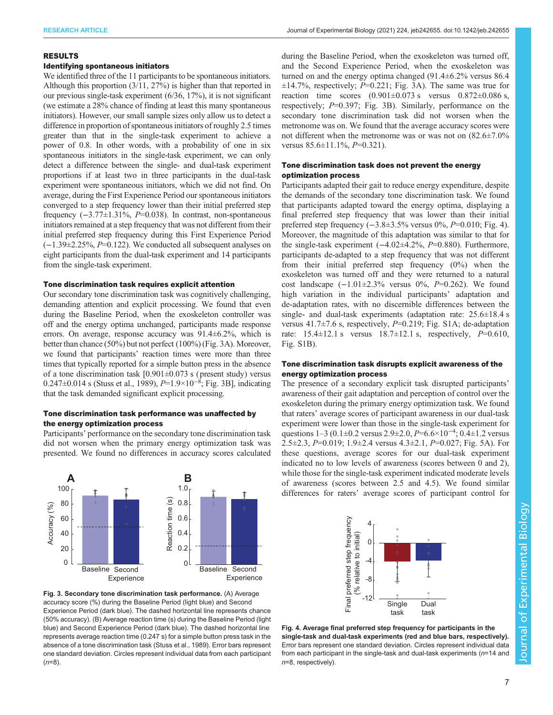## RESULTS

## Identifying spontaneous initiators

We identified three of the 11 participants to be spontaneous initiators. Although this proportion (3/11, 27%) is higher than that reported in our previous single-task experiment (6/36, 17%), it is not significant (we estimate a 28% chance of finding at least this many spontaneous initiators). However, our small sample sizes only allow us to detect a difference in proportion of spontaneous initiators of roughly 2.5 times greater than that in the single-task experiment to achieve a power of 0.8. In other words, with a probability of one in six spontaneous initiators in the single-task experiment, we can only detect a difference between the single- and dual-task experiment proportions if at least two in three participants in the dual-task experiment were spontaneous initiators, which we did not find. On average, during the First Experience Period our spontaneous initiators converged to a step frequency lower than their initial preferred step frequency  $(-3.77\pm1.31\%, P=0.038)$ . In contrast, non-spontaneous initiators remained at a step frequency that was not different from their initial preferred step frequency during this First Experience Period (−1.39±2.25%, P=0.122). We conducted all subsequent analyses on eight participants from the dual-task experiment and 14 participants from the single-task experiment.

## Tone discrimination task requires explicit attention

Our secondary tone discrimination task was cognitively challenging, demanding attention and explicit processing. We found that even during the Baseline Period, when the exoskeleton controller was off and the energy optima unchanged, participants made response errors. On average, response accuracy was 91.4±6.2%, which is better than chance (50%) but not perfect (100%) (Fig. 3A). Moreover, we found that participants' reaction times were more than three times that typically reported for a simple button press in the absence of a tone discrimination task  $[0.901 \pm 0.073$  s (present study) versus 0.247±0.014 s ([Stuss et al., 1989\)](#page-10-0),  $P=1.9\times10^{-8}$ ; Fig. 3B], indicating that the task demanded significant explicit processing.

# Tone discrimination task performance was unaffected by the energy optimization process

Participants' performance on the secondary tone discrimination task did not worsen when the primary energy optimization task was presented. We found no differences in accuracy scores calculated





during the Baseline Period, when the exoskeleton was turned off, and the Second Experience Period, when the exoskeleton was turned on and the energy optima changed (91.4±6.2% versus 86.4  $\pm$ 14.7%, respectively; P=0.221; Fig. 3A). The same was true for reaction time scores  $(0.901 \pm 0.073 \text{ s}$  versus  $0.872 \pm 0.086 \text{ s}$ , respectively; P=0.397; Fig. 3B). Similarly, performance on the secondary tone discrimination task did not worsen when the metronome was on. We found that the average accuracy scores were not different when the metronome was or was not on (82.6±7.0% versus  $85.6 \pm 11.1\%$ ,  $P=0.321$ ).

## Tone discrimination task does not prevent the energy optimization process

Participants adapted their gait to reduce energy expenditure, despite the demands of the secondary tone discrimination task. We found that participants adapted toward the energy optima, displaying a final preferred step frequency that was lower than their initial preferred step frequency  $(-3.8\pm 3.5\%$  versus 0%,  $P=0.010$ ; Fig. 4). Moreover, the magnitude of this adaptation was similar to that for the single-task experiment  $(-4.02\pm4.2\%, P=0.880)$ . Furthermore, participants de-adapted to a step frequency that was not different from their initial preferred step frequency (0%) when the exoskeleton was turned off and they were returned to a natural cost landscape  $(-1.01 \pm 2.3\%$  versus 0%,  $P=0.262$ ). We found high variation in the individual participants' adaptation and de-adaptation rates, with no discernible differences between the single- and dual-task experiments (adaptation rate: 25.6±18.4 s versus  $41.7\pm7.6$  s, respectively,  $P=0.219$ ; [Fig. S1A](https://journals.biologists.com/jeb/article-lookup/DOI/10.1242/jeb.242655); de-adaptation rate:  $15.4 \pm 12.1$  s versus  $18.7 \pm 12.1$  s, respectively,  $P=0.610$ , [Fig. S1B\)](https://journals.biologists.com/jeb/article-lookup/DOI/10.1242/jeb.242655).

# Tone discrimination task disrupts explicit awareness of the energy optimization process

The presence of a secondary explicit task disrupted participants' awareness of their gait adaptation and perception of control over the exoskeleton during the primary energy optimization task. We found that raters' average scores of participant awareness in our dual-task experiment were lower than those in the single-task experiment for questions  $1-3$  (0.1 $\pm$ 0.2 versus 2.9 $\pm$ 2.0, P=6.6×10<sup>-4</sup>; 0.4 $\pm$ 1.2 versus 2.5 $\pm$ 2.3, P=0.019; 1.9 $\pm$ 2.4 versus 4.3 $\pm$ 2.1, P=0.027; [Fig. 5](#page-7-0)A). For these questions, average scores for our dual-task experiment indicated no to low levels of awareness (scores between 0 and 2), while those for the single-task experiment indicated moderate levels of awareness (scores between 2.5 and 4.5). We found similar differences for raters' average scores of participant control for



Fig. 4. Average final preferred step frequency for participants in the single-task and dual-task experiments (red and blue bars, respectively). Error bars represent one standard deviation. Circles represent individual data from each participant in the single-task and dual-task experiments ( $n=14$  and n=8, respectively).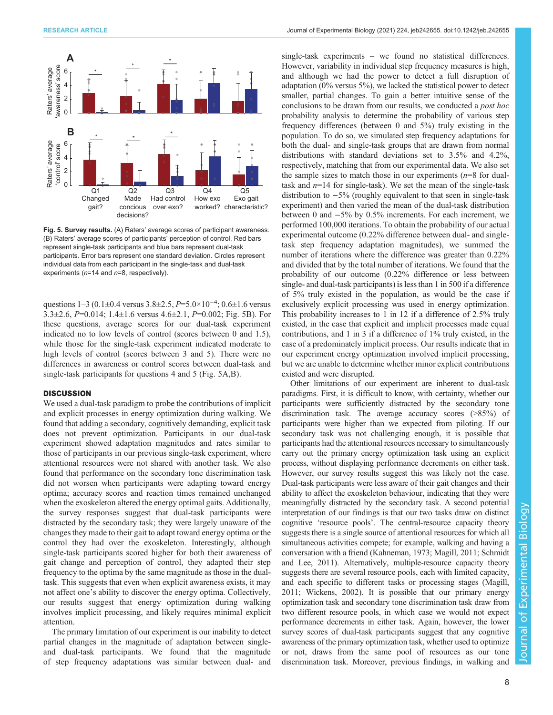<span id="page-7-0"></span>

Fig. 5. Survey results. (A) Raters' average scores of participant awareness. (B) Raters' average scores of participants' perception of control. Red bars represent single-task participants and blue bars represent dual-task participants. Error bars represent one standard deviation. Circles represent individual data from each participant in the single-task and dual-task experiments ( $n=14$  and  $n=8$ , respectively).

questions  $1-3$  (0.1 $\pm$ 0.4 versus 3.8 $\pm$ 2.5,  $P=$ 5.0×10<sup>-4</sup>; 0.6 $\pm$ 1.6 versus 3.3 $\pm$ 2.6, P=0.014; 1.4 $\pm$ 1.6 versus 4.6 $\pm$ 2.1, P=0.002; Fig. 5B). For these questions, average scores for our dual-task experiment indicated no to low levels of control (scores between 0 and 1.5), while those for the single-task experiment indicated moderate to high levels of control (scores between 3 and 5). There were no differences in awareness or control scores between dual-task and single-task participants for questions 4 and 5 (Fig. 5A,B).

## **DISCUSSION**

We used a dual-task paradigm to probe the contributions of implicit and explicit processes in energy optimization during walking. We found that adding a secondary, cognitively demanding, explicit task does not prevent optimization. Participants in our dual-task experiment showed adaptation magnitudes and rates similar to those of participants in our previous single-task experiment, where attentional resources were not shared with another task. We also found that performance on the secondary tone discrimination task did not worsen when participants were adapting toward energy optima; accuracy scores and reaction times remained unchanged when the exoskeleton altered the energy optimal gaits. Additionally, the survey responses suggest that dual-task participants were distracted by the secondary task; they were largely unaware of the changes they made to their gait to adapt toward energy optima or the control they had over the exoskeleton. Interestingly, although single-task participants scored higher for both their awareness of gait change and perception of control, they adapted their step frequency to the optima by the same magnitude as those in the dualtask. This suggests that even when explicit awareness exists, it may not affect one's ability to discover the energy optima. Collectively, our results suggest that energy optimization during walking involves implicit processing, and likely requires minimal explicit attention.

The primary limitation of our experiment is our inability to detect partial changes in the magnitude of adaptation between singleand dual-task participants. We found that the magnitude of step frequency adaptations was similar between dual- and

single-task experiments – we found no statistical differences. However, variability in individual step frequency measures is high, and although we had the power to detect a full disruption of adaptation (0% versus 5%), we lacked the statistical power to detect smaller, partial changes. To gain a better intuitive sense of the conclusions to be drawn from our results, we conducted a post hoc probability analysis to determine the probability of various step frequency differences (between 0 and 5%) truly existing in the population. To do so, we simulated step frequency adaptations for both the dual- and single-task groups that are drawn from normal distributions with standard deviations set to 3.5% and 4.2%, respectively, matching that from our experimental data. We also set the sample sizes to match those in our experiments  $(n=8$  for dualtask and  $n=14$  for single-task). We set the mean of the single-task distribution to −5% (roughly equivalent to that seen in single-task experiment) and then varied the mean of the dual-task distribution between 0 and −5% by 0.5% increments. For each increment, we performed 100,000 iterations. To obtain the probability of our actual experimental outcome (0.22% difference between dual- and singletask step frequency adaptation magnitudes), we summed the number of iterations where the difference was greater than 0.22% and divided that by the total number of iterations. We found that the probability of our outcome (0.22% difference or less between single- and dual-task participants) is less than 1 in 500 if a difference of 5% truly existed in the population, as would be the case if exclusively explicit processing was used in energy optimization. This probability increases to 1 in 12 if a difference of 2.5% truly existed, in the case that explicit and implicit processes made equal contributions, and 1 in 3 if a difference of 1% truly existed, in the case of a predominately implicit process. Our results indicate that in our experiment energy optimization involved implicit processing, but we are unable to determine whether minor explicit contributions existed and were disrupted.

Other limitations of our experiment are inherent to dual-task paradigms. First, it is difficult to know, with certainty, whether our participants were sufficiently distracted by the secondary tone discrimination task. The average accuracy scores (>85%) of participants were higher than we expected from piloting. If our secondary task was not challenging enough, it is possible that participants had the attentional resources necessary to simultaneously carry out the primary energy optimization task using an explicit process, without displaying performance decrements on either task. However, our survey results suggest this was likely not the case. Dual-task participants were less aware of their gait changes and their ability to affect the exoskeleton behaviour, indicating that they were meaningfully distracted by the secondary task. A second potential interpretation of our findings is that our two tasks draw on distinct cognitive 'resource pools'. The central-resource capacity theory suggests there is a single source of attentional resources for which all simultaneous activities compete; for example, walking and having a conversation with a friend ([Kahneman, 1973; Magill, 2011](#page-9-0); [Schmidt](#page-10-0) [and Lee, 2011](#page-10-0)). Alternatively, multiple-resource capacity theory suggests there are several resource pools, each with limited capacity, and each specific to different tasks or processing stages [\(Magill,](#page-9-0) [2011;](#page-9-0) [Wickens, 2002](#page-10-0)). It is possible that our primary energy optimization task and secondary tone discrimination task draw from two different resource pools, in which case we would not expect performance decrements in either task. Again, however, the lower survey scores of dual-task participants suggest that any cognitive awareness of the primary optimization task, whether used to optimize or not, draws from the same pool of resources as our tone discrimination task. Moreover, previous findings, in walking and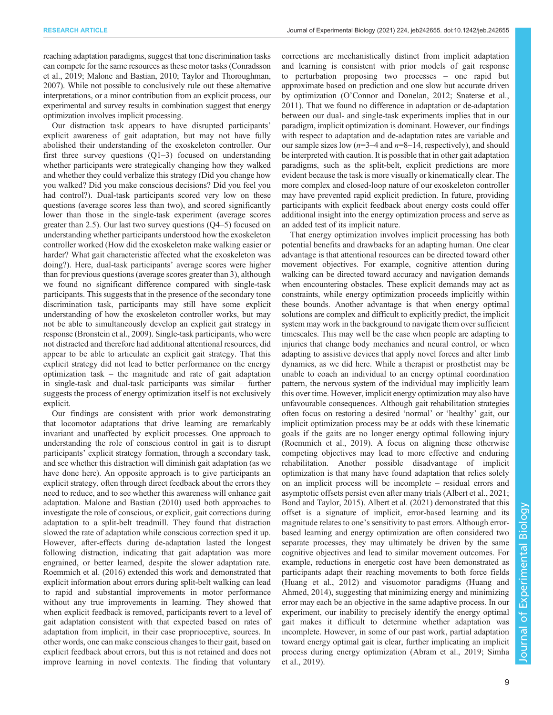reaching adaptation paradigms, suggest that tone discrimination tasks can compete for the same resources as these motor tasks ([Conradsson](#page-9-0) [et al., 2019; Malone and Bastian, 2010;](#page-9-0) [Taylor and Thoroughman,](#page-10-0) [2007\)](#page-10-0). While not possible to conclusively rule out these alternative interpretations, or a minor contribution from an explicit process, our experimental and survey results in combination suggest that energy optimization involves implicit processing.

Our distraction task appears to have disrupted participants' explicit awareness of gait adaptation, but may not have fully abolished their understanding of the exoskeleton controller. Our first three survey questions  $(Q1-3)$  focused on understanding whether participants were strategically changing how they walked and whether they could verbalize this strategy (Did you change how you walked? Did you make conscious decisions? Did you feel you had control?). Dual-task participants scored very low on these questions (average scores less than two), and scored significantly lower than those in the single-task experiment (average scores greater than 2.5). Our last two survey questions (Q4–5) focused on understanding whether participants understood how the exoskeleton controller worked (How did the exoskeleton make walking easier or harder? What gait characteristic affected what the exoskeleton was doing?). Here, dual-task participants' average scores were higher than for previous questions (average scores greater than 3), although we found no significant difference compared with single-task participants. This suggests that in the presence of the secondary tone discrimination task, participants may still have some explicit understanding of how the exoskeleton controller works, but may not be able to simultaneously develop an explicit gait strategy in response ([Bronstein et al., 2009\)](#page-9-0). Single-task participants, who were not distracted and therefore had additional attentional resources, did appear to be able to articulate an explicit gait strategy. That this explicit strategy did not lead to better performance on the energy optimization task – the magnitude and rate of gait adaptation in single-task and dual-task participants was similar – further suggests the process of energy optimization itself is not exclusively explicit.

Our findings are consistent with prior work demonstrating that locomotor adaptations that drive learning are remarkably invariant and unaffected by explicit processes. One approach to understanding the role of conscious control in gait is to disrupt participants' explicit strategy formation, through a secondary task, and see whether this distraction will diminish gait adaptation (as we have done here). An opposite approach is to give participants an explicit strategy, often through direct feedback about the errors they need to reduce, and to see whether this awareness will enhance gait adaptation. [Malone and Bastian \(2010\)](#page-9-0) used both approaches to investigate the role of conscious, or explicit, gait corrections during adaptation to a split-belt treadmill. They found that distraction slowed the rate of adaptation while conscious correction sped it up. However, after-effects during de-adaptation lasted the longest following distraction, indicating that gait adaptation was more engrained, or better learned, despite the slower adaptation rate. [Roemmich et al. \(2016\)](#page-9-0) extended this work and demonstrated that explicit information about errors during split-belt walking can lead to rapid and substantial improvements in motor performance without any true improvements in learning. They showed that when explicit feedback is removed, participants revert to a level of gait adaptation consistent with that expected based on rates of adaptation from implicit, in their case proprioceptive, sources. In other words, one can make conscious changes to their gait, based on explicit feedback about errors, but this is not retained and does not improve learning in novel contexts. The finding that voluntary

corrections are mechanistically distinct from implicit adaptation and learning is consistent with prior models of gait response to perturbation proposing two processes – one rapid but approximate based on prediction and one slow but accurate driven by optimization (O'[Connor and Donelan, 2012;](#page-9-0) [Snaterse et al.,](#page-10-0) [2011\)](#page-10-0). That we found no difference in adaptation or de-adaptation between our dual- and single-task experiments implies that in our paradigm, implicit optimization is dominant. However, our findings with respect to adaptation and de-adaptation rates are variable and our sample sizes low  $(n=3-4$  and  $n=8-14$ , respectively), and should be interpreted with caution. It is possible that in other gait adaptation paradigms, such as the split-belt, explicit predictions are more evident because the task is more visually or kinematically clear. The more complex and closed-loop nature of our exoskeleton controller may have prevented rapid explicit prediction. In future, providing participants with explicit feedback about energy costs could offer additional insight into the energy optimization process and serve as an added test of its implicit nature.

That energy optimization involves implicit processing has both potential benefits and drawbacks for an adapting human. One clear advantage is that attentional resources can be directed toward other movement objectives. For example, cognitive attention during walking can be directed toward accuracy and navigation demands when encountering obstacles. These explicit demands may act as constraints, while energy optimization proceeds implicitly within these bounds. Another advantage is that when energy optimal solutions are complex and difficult to explicitly predict, the implicit system may work in the background to navigate them over sufficient timescales. This may well be the case when people are adapting to injuries that change body mechanics and neural control, or when adapting to assistive devices that apply novel forces and alter limb dynamics, as we did here. While a therapist or prosthetist may be unable to coach an individual to an energy optimal coordination pattern, the nervous system of the individual may implicitly learn this over time. However, implicit energy optimization may also have unfavourable consequences. Although gait rehabilitation strategies often focus on restoring a desired 'normal' or 'healthy' gait, our implicit optimization process may be at odds with these kinematic goals if the gaits are no longer energy optimal following injury [\(Roemmich et al., 2019](#page-9-0)). A focus on aligning these otherwise competing objectives may lead to more effective and enduring rehabilitation. Another possible disadvantage of implicit optimization is that many have found adaptation that relies solely on an implicit process will be incomplete – residual errors and asymptotic offsets persist even after many trials ([Albert et al., 2021](#page-9-0); [Bond and Taylor, 2015](#page-9-0)). [Albert et al. \(2021\)](#page-9-0) demonstrated that this offset is a signature of implicit, error-based learning and its magnitude relates to one's sensitivity to past errors. Although errorbased learning and energy optimization are often considered two separate processes, they may ultimately be driven by the same cognitive objectives and lead to similar movement outcomes. For example, reductions in energetic cost have been demonstrated as participants adapt their reaching movements to both force fields [\(Huang et al., 2012\)](#page-9-0) and visuomotor paradigms [\(Huang and](#page-9-0) [Ahmed, 2014\)](#page-9-0), suggesting that minimizing energy and minimizing error may each be an objective in the same adaptive process. In our experiment, our inability to precisely identify the energy optimal gait makes it difficult to determine whether adaptation was incomplete. However, in some of our past work, partial adaptation toward energy optimal gait is clear, further implicating an implicit process during energy optimization [\(Abram et al., 2019](#page-9-0); [Simha](#page-10-0) [et al., 2019\)](#page-10-0).

Journal of Experimental Biology

lournal of

Experimental Biology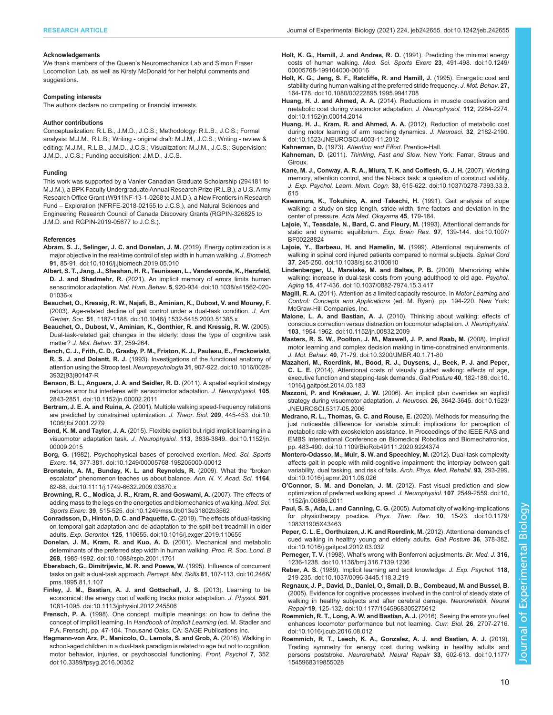#### <span id="page-9-0"></span>RESEARCH ARTICLE **ARTICLE** ARTICLE **Journal of Experimental Biology (2021)** 224, jeb242655. doi:10.1242/jeb.242655

#### Acknowledgements

We thank members of the Queen's Neuromechanics Lab and Simon Fraser Locomotion Lab, as well as Kirsty McDonald for her helpful comments and suggestions.

#### Competing interests

The authors declare no competing or financial interests.

#### Author contributions

Conceptualization: R.L.B., J.M.D., J.C.S.; Methodology: R.L.B., J.C.S.; Formal analysis: M.J.M., R.L.B.; Writing - original draft: M.J.M., J.C.S.; Writing - review & editing: M.J.M., R.L.B., J.M.D., J.C.S.; Visualization: M.J.M., J.C.S.; Supervision: J.M.D., J.C.S.; Funding acquisition: J.M.D., J.C.S.

#### Funding

This work was supported by a Vanier Canadian Graduate Scholarship (294181 to M.J.M.), a BPK Faculty Undergraduate Annual Research Prize (R.L.B.), a U.S. Army Research Office Grant (W911NF-13-1-0268 to J.M.D.), a New Frontiers in Research Fund – Exploration (NFRFE-2018-02155 to J.C.S.), and Natural Sciences and Engineering Research Council of Canada Discovery Grants (RGPIN-326825 to J.M.D. and RGPIN-2019-05677 to J.C.S.).

#### References

- [Abram, S. J., Selinger, J. C. and Donelan, J. M.](https://doi.org/10.1016/j.jbiomech.2019.05.010) (2019). Energy optimization is a [major objective in the real-time control of step width in human walking.](https://doi.org/10.1016/j.jbiomech.2019.05.010) J. Biomech 91[, 85-91. doi:10.1016/j.jbiomech.2019.05.010](https://doi.org/10.1016/j.jbiomech.2019.05.010)
- [Albert, S. T., Jang, J., Sheahan, H. R., Teunissen, L., Vandevoorde, K., Herzfeld,](https://doi.org/10.1038/s41562-020-01036-x) D. J. and Shadmehr, R. [\(2021\). An implicit memory of errors limits human](https://doi.org/10.1038/s41562-020-01036-x) sensorimotor adaptation. Nat. Hum. Behav. 5[, 920-934. doi:10.1038/s41562-020-](https://doi.org/10.1038/s41562-020-01036-x) [01036-x](https://doi.org/10.1038/s41562-020-01036-x)
- [Beauchet, O., Kressig, R. W., Najafi, B., Aminian, K., Dubost, V. and Mourey, F.](https://doi.org/10.1046/j.1532-5415.2003.51385.x) [\(2003\). Age-related decline of gait control under a dual-task condition.](https://doi.org/10.1046/j.1532-5415.2003.51385.x) J. Am. Geriatr. Soc. 51[, 1187-1188. doi:10.1046/j.1532-5415.2003.51385.x](https://doi.org/10.1046/j.1532-5415.2003.51385.x)
- Beauchet, O., Dubost, V., Aminian, K., Gonthier, R. and Kressig, R. W. (2005). Dual-task-related gait changes in the elderly: does the type of cognitive task matter? J. Mot. Behav. 37, 259-264.
- [Bench, C. J., Frith, C. D., Grasby, P. M., Friston, K. J., Paulesu, E., Frackowiakt,](https://doi.org/10.1016/0028-3932(93)90147-R) R. S. J. and Dolantt, R. J. [\(1993\). Investigations of the functional anatomy of](https://doi.org/10.1016/0028-3932(93)90147-R) [attention using the Stroop test.](https://doi.org/10.1016/0028-3932(93)90147-R) Neuropsychologia 31, 907-922. doi:10.1016/0028- [3932\(93\)90147-R](https://doi.org/10.1016/0028-3932(93)90147-R)
- [Benson, B. L., Anguera, J. A. and Seidler, R. D.](https://doi.org/10.1152/jn.00002.2011) (2011). A spatial explicit strategy [reduces error but interferes with sensorimotor adaptation.](https://doi.org/10.1152/jn.00002.2011) J. Neurophysiol. 105. [2843-2851. doi:10.1152/jn.00002.2011](https://doi.org/10.1152/jn.00002.2011)
- Bertram, J. E. A. and Ruina, A. [\(2001\). Multiple walking speed-frequency relations](https://doi.org/10.1006/jtbi.2001.2279) [are predicted by constrained optimization.](https://doi.org/10.1006/jtbi.2001.2279) J. Theor. Biol. 209, 445-453. doi:10. [1006/jtbi.2001.2279](https://doi.org/10.1006/jtbi.2001.2279)
- Bond, K. M. and Taylor, J. A. [\(2015\). Flexible explicit but rigid implicit learning in a](https://doi.org/10.1152/jn.00009.2015) visuomotor adaptation task. J. Neurophysiol. 113[, 3836-3849. doi:10.1152/jn.](https://doi.org/10.1152/jn.00009.2015) [00009.2015](https://doi.org/10.1152/jn.00009.2015)
- Borg, G. [\(1982\). Psychophysical bases of perceived exertion.](https://doi.org/10.1249/00005768-198205000-00012) Med. Sci. Sports Exerc. 14[, 377-381. doi:10.1249/00005768-198205000-00012](https://doi.org/10.1249/00005768-198205000-00012)
- [Bronstein, A. M., Bunday, K. L. and Reynolds, R.](https://doi.org/10.1111/j.1749-6632.2009.03870.x) (2009). What the "broken escalator" [phenomenon teaches us about balance.](https://doi.org/10.1111/j.1749-6632.2009.03870.x) Ann. N. Y. Acad. Sci. 1164, [82-88. doi:10.1111/j.1749-6632.2009.03870.x](https://doi.org/10.1111/j.1749-6632.2009.03870.x)
- [Browning, R. C., Modica, J. R., Kram, R. and Goswami, A.](https://doi.org/10.1249/mss.0b013e31802b3562) (2007). The effects of [adding mass to the legs on the energetics and biomechanics of walking.](https://doi.org/10.1249/mss.0b013e31802b3562) Med. Sci. Sports Exerc. 39[, 515-525. doi:10.1249/mss.0b013e31802b3562](https://doi.org/10.1249/mss.0b013e31802b3562)
- [Conradsson, D., Hinton, D. C. and Paquette, C.](https://doi.org/10.1016/j.exger.2019.110655) (2019). The effects of dual-tasking [on temporal gait adaptation and de-adaptation to the split-belt treadmill in older](https://doi.org/10.1016/j.exger.2019.110655) adults. Exp. Gerontol. 125[, 110655. doi:10.1016/j.exger.2019.110655](https://doi.org/10.1016/j.exger.2019.110655)
- [Donelan, J. M., Kram, R. and Kuo, A. D.](https://doi.org/10.1098/rspb.2001.1761) (2001). Mechanical and metabolic [determinants of the preferred step width in human walking.](https://doi.org/10.1098/rspb.2001.1761) Proc. R. Soc. Lond. B 268[, 1985-1992. doi:10.1098/rspb.2001.1761](https://doi.org/10.1098/rspb.2001.1761)
- [Ebersbach, G., Dimitrijevic, M. R. and Poewe, W.](https://doi.org/10.2466/pms.1995.81.1.107) (1995). Influence of concurrent [tasks on gait: a dual-task approach.](https://doi.org/10.2466/pms.1995.81.1.107) Percept. Mot. Skills 81, 107-113. doi:10.2466/ [pms.1995.81.1.107](https://doi.org/10.2466/pms.1995.81.1.107)
- [Finley, J. M., Bastian, A. J. and Gottschall, J. S.](https://doi.org/10.1113/jphysiol.2012.245506) (2013). Learning to be [economical: the energy cost of walking tracks motor adaptation.](https://doi.org/10.1113/jphysiol.2012.245506) J. Physiol. 591, [1081-1095. doi:10.1113/jphysiol.2012.245506](https://doi.org/10.1113/jphysiol.2012.245506)
- Frensch, P. A. (1998). One concept, multiple meanings: on how to define the concept of implicit learning. In Handbook of Implicit Learning (ed. M. Stadler and P.A. Frensch), pp. 47-104. Thousand Oaks, CA: SAGE Publications Inc.
- [Hagmann-von Arx, P., Manicolo, O., Lemola, S. and Grob, A.](https://doi.org/10.3389/fpsyg.2016.00352) (2016). Walking in [school-aged children in a dual-task paradigm is related to age but not to cognition,](https://doi.org/10.3389/fpsyg.2016.00352) [motor behavior, injuries, or psychosocial functioning.](https://doi.org/10.3389/fpsyg.2016.00352) Front. Psychol 7, 352. [doi:10.3389/fpsyg.2016.00352](https://doi.org/10.3389/fpsyg.2016.00352)
- [Holt, K. G., Hamill, J. and Andres, R. O.](https://doi.org/10.1249/00005768-199104000-00016) (1991). Predicting the minimal energy [costs of human walking.](https://doi.org/10.1249/00005768-199104000-00016) Med. Sci. Sports Exerc 23, 491-498. doi:10.1249/ [00005768-199104000-00016](https://doi.org/10.1249/00005768-199104000-00016)
- [Holt, K. G., Jeng, S. F., Ratcliffe, R. and Hamill, J.](https://doi.org/10.1080/00222895.1995.9941708) (1995). Energetic cost and [stability during human walking at the preferred stride frequency.](https://doi.org/10.1080/00222895.1995.9941708) J. Mot. Behav. 27, [164-178. doi:10.1080/00222895.1995.9941708](https://doi.org/10.1080/00222895.1995.9941708)
- Huang, H. J. and Ahmed, A. A. [\(2014\). Reductions in muscle coactivation and](https://doi.org/10.1152/jn.00014.2014) [metabolic cost during visuomotor adaptation.](https://doi.org/10.1152/jn.00014.2014) J. Neurophysiol. 112, 2264-2274. [doi:10.1152/jn.00014.2014](https://doi.org/10.1152/jn.00014.2014)
- [Huang, H. J., Kram, R. and Ahmed, A. A.](https://doi.org/10.1523/JNEUROSCI.4003-11.2012) (2012). Reduction of metabolic cost [during motor learning of arm reaching dynamics.](https://doi.org/10.1523/JNEUROSCI.4003-11.2012) J. Neurosci. 32, 2182-2190. [doi:10.1523/JNEUROSCI.4003-11.2012](https://doi.org/10.1523/JNEUROSCI.4003-11.2012)
- Kahneman, D. (1973). Attention and Effort. Prentice-Hall.
- Kahneman, D. (2011). Thinking, Fast and Slow. New York: Farrar, Straus and Giroux.
- [Kane, M. J., Conway, A. R. A., Miura, T. K. and Colflesh, G. J. H.](https://doi.org/10.1037/0278-7393.33.3.615) (2007). Working [memory, attention control, and the N-back task: a question of construct validity.](https://doi.org/10.1037/0278-7393.33.3.615) J. Exp. Psychol. Learn. Mem. Cogn. 33[, 615-622. doi:10.1037/0278-7393.33.3.](https://doi.org/10.1037/0278-7393.33.3.615) [615](https://doi.org/10.1037/0278-7393.33.3.615)
- Kawamura, K., Tokuhiro, A. and Takechi, H. (1991). Gait analysis of slope walking: a study on step length, stride width, time factors and deviation in the center of pressure. Acta Med. Okayama 45, 179-184.
- [Lajoie, Y., Teasdale, N., Bard, C. and Fleury, M.](https://doi.org/10.1007/BF00228824) (1993). Attentional demands for [static and dynamic equilibrium.](https://doi.org/10.1007/BF00228824) Exp. Brain Res. 97, 139-144. doi:10.1007/ [BF00228824](https://doi.org/10.1007/BF00228824)
- [Lajoie, Y., Barbeau, H. and Hamelin, M.](https://doi.org/10.1038/sj.sc.3100810) (1999). Attentional requirements of [walking in spinal cord injured patients compared to normal subjects.](https://doi.org/10.1038/sj.sc.3100810) Spinal Cord 37[, 245-250. doi:10.1038/sj.sc.3100810](https://doi.org/10.1038/sj.sc.3100810)
- [Lindenberger, U., Marsiske, M. and Baltes, P. B.](https://doi.org/10.1037/0882-7974.15.3.417) (2000). Memorizing while [walking: increase in dual-task costs from young adulthood to old age.](https://doi.org/10.1037/0882-7974.15.3.417) Psychol. Aging 15[, 417-436. doi:10.1037/0882-7974.15.3.417](https://doi.org/10.1037/0882-7974.15.3.417)
- **Magill, R. A.** (2011). Attention as a limited capacity resource. In Motor Learning and Control: Concepts and Applications (ed. M. Ryan), pp. 194-220. New York: McGraw-Hill Companies, Inc.
- Malone, L. A. and Bastian, A. J. [\(2010\). Thinking about walking: effects of](https://doi.org/10.1152/jn.00832.2009) [conscious correction versus distraction on locomotor adaptation.](https://doi.org/10.1152/jn.00832.2009) J. Neurophysiol. 103[, 1954-1962. doi:10.1152/jn.00832.2009](https://doi.org/10.1152/jn.00832.2009)
- [Masters, R. S. W., Poolton, J. M., Maxwell, J. P. and Raab, M.](https://doi.org/10.3200/JMBR.40.1.71-80) (2008). Implicit [motor learning and complex decision making in time-constrained environments.](https://doi.org/10.3200/JMBR.40.1.71-80) J. Mot. Behav. 40[, 71-79. doi:10.3200/JMBR.40.1.71-80](https://doi.org/10.3200/JMBR.40.1.71-80)
- [Mazaheri, M., Roerdink, M., Bood, R. J., Duysens, J., Beek, P. J. and Peper,](https://doi.org/10.1016/j.gaitpost.2014.03.183) C. L. E. [\(2014\). Attentional costs of visually guided walking: effects of age,](https://doi.org/10.1016/j.gaitpost.2014.03.183) [executive function and stepping-task demands.](https://doi.org/10.1016/j.gaitpost.2014.03.183) Gait Posture 40, 182-186. doi:10. [1016/j.gaitpost.2014.03.183](https://doi.org/10.1016/j.gaitpost.2014.03.183)
- Mazzoni, P. and Krakauer, J. W. [\(2006\). An implicit plan overrides an explicit](https://doi.org/10.1523/JNEUROSCI.5317-05.2006) [strategy during visuomotor adaptation.](https://doi.org/10.1523/JNEUROSCI.5317-05.2006) J. Neurosci. 26, 3642-3645. doi:10.1523/ [JNEUROSCI.5317-05.2006](https://doi.org/10.1523/JNEUROSCI.5317-05.2006)
- [Medrano, R. L., Thomas, G. C. and Rouse, E.](https://doi.org/10.1109/BioRob49111.2020.9224374) (2020). Methods for measuring the [just noticeable difference for variable stimuli: implications for perception of](https://doi.org/10.1109/BioRob49111.2020.9224374) [metabolic rate with exoskeleton assistance. In Proceedings of the IEEE RAS and](https://doi.org/10.1109/BioRob49111.2020.9224374) [EMBS International Conference on Biomedical Robotics and Biomechatronics,](https://doi.org/10.1109/BioRob49111.2020.9224374) [pp. 483-490. doi:10.1109/BioRob49111.2020.9224374](https://doi.org/10.1109/BioRob49111.2020.9224374)
- [Montero-Odasso, M., Muir, S. W. and Speechley, M.](https://doi.org/10.1016/j.apmr.2011.08.026) (2012). Dual-task complexity [affects gait in people with mild cognitive impairment: the interplay between gait](https://doi.org/10.1016/j.apmr.2011.08.026) [variability, dual tasking, and risk of falls.](https://doi.org/10.1016/j.apmr.2011.08.026) Arch. Phys. Med. Rehabil. 93, 293-299. [doi:10.1016/j.apmr.2011.08.026](https://doi.org/10.1016/j.apmr.2011.08.026)
- O'Connor, S. M. and Donelan, J. M. [\(2012\). Fast visual prediction and slow](https://doi.org/10.1152/jn.00866.2011) [optimization of preferred walking speed.](https://doi.org/10.1152/jn.00866.2011) J. Neurophysiol. 107, 2549-2559. doi:10. [1152/jn.00866.2011](https://doi.org/10.1152/jn.00866.2011)
- Paul, S. S., Ada, L. and Canning, C. G. [\(2005\). Automaticity of walking-implications](https://doi.org/10.1179/108331905X43463) [for physiotherapy practice.](https://doi.org/10.1179/108331905X43463) Phys. Ther. Rev. 10, 15-23. doi:10.1179/ [108331905X43463](https://doi.org/10.1179/108331905X43463)
- [Peper, C. L. E., Oorthuizen, J. K. and Roerdink, M.](https://doi.org/10.1016/j.gaitpost.2012.03.032) (2012). Attentional demands of [cued walking in healthy young and elderly adults.](https://doi.org/10.1016/j.gaitpost.2012.03.032) Gait Posture 36, 378-382. [doi:10.1016/j.gaitpost.2012.03.032](https://doi.org/10.1016/j.gaitpost.2012.03.032)
- Perneger, T. V. (1998). What'[s wrong with Bonferroni adjustments.](https://doi.org/10.1136/bmj.316.7139.1236) Br. Med. J. 316, [1236-1238. doi:10.1136/bmj.316.7139.1236](https://doi.org/10.1136/bmj.316.7139.1236)
- Reber, A. S. [\(1989\). Implicit learning and tacit knowledge.](https://doi.org/10.1037/0096-3445.118.3.219) J. Exp. Psychol. 118, [219-235. doi:10.1037/0096-3445.118.3.219](https://doi.org/10.1037/0096-3445.118.3.219)
- [Regnaux, J. P., David, D., Daniel, O., Smail, D. B., Combeaud, M. and Bussel, B.](https://doi.org/10.1177/1545968305275612) [\(2005\). Evidence for cognitive processes involved in the control of steady state of](https://doi.org/10.1177/1545968305275612) [walking in healthy subjects and after cerebral damage.](https://doi.org/10.1177/1545968305275612) Neurorehabil. Neural Repair 19[, 125-132. doi:10.1177/1545968305275612](https://doi.org/10.1177/1545968305275612)
- [Roemmich, R. T., Long, A. W. and Bastian, A. J.](https://doi.org/10.1016/j.cub.2016.08.012) (2016). Seeing the errors you feel [enhances locomotor performance but not learning.](https://doi.org/10.1016/j.cub.2016.08.012) Curr. Biol. 26, 2707-2716. [doi:10.1016/j.cub.2016.08.012](https://doi.org/10.1016/j.cub.2016.08.012)
- [Roemmich, R. T., Leech, K. A., Gonzalez, A. J. and Bastian, A. J.](https://doi.org/10.1177/1545968319855028) (2019). [Trading symmetry for energy cost during walking in healthy adults and](https://doi.org/10.1177/1545968319855028) persons poststroke. [Neurorehabil. Neural Repair](https://doi.org/10.1177/1545968319855028) 33, 602-613. doi:10.1177/ [1545968319855028](https://doi.org/10.1177/1545968319855028)

Biology